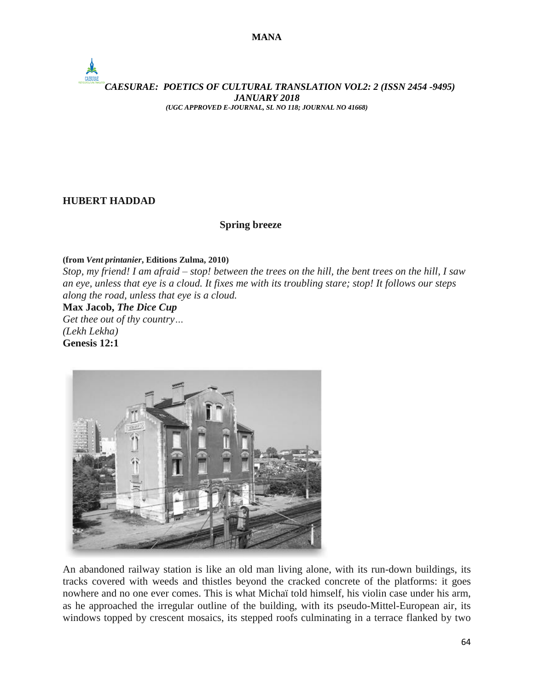# *CAESURAE: POETICS OF CULTURAL TRANSLATION VOL2: 2 (ISSN 2454 -9495) JANUARY 2018 (UGC APPROVED E-JOURNAL, SL NO 118; JOURNAL NO 41668)*

## **HUBERT HADDAD**

## **Spring breeze**

**(from** *Vent printanier***, Editions Zulma, 2010)**

Stop, my friend! I am afraid – stop! between the trees on the hill, the bent trees on the hill, I saw an eye, unless that eye is a cloud. It fixes me with its troubling stare; stop! It follows our steps *along the road, unless that eye is a cloud.*

**Max Jacob,** *The Dice Cup*

*Get thee out of thy country… (Lekh Lekha)* **Genesis 12:1**



An abandoned railway station is like an old man living alone, with its run-down buildings, its tracks covered with weeds and thistles beyond the cracked concrete of the platforms: it goes nowhere and no one ever comes. This is what Michaï told himself, his violin case under his arm, as he approached the irregular outline of the building, with its pseudo-Mittel-European air, its windows topped by crescent mosaics, its stepped roofs culminating in a terrace flanked by two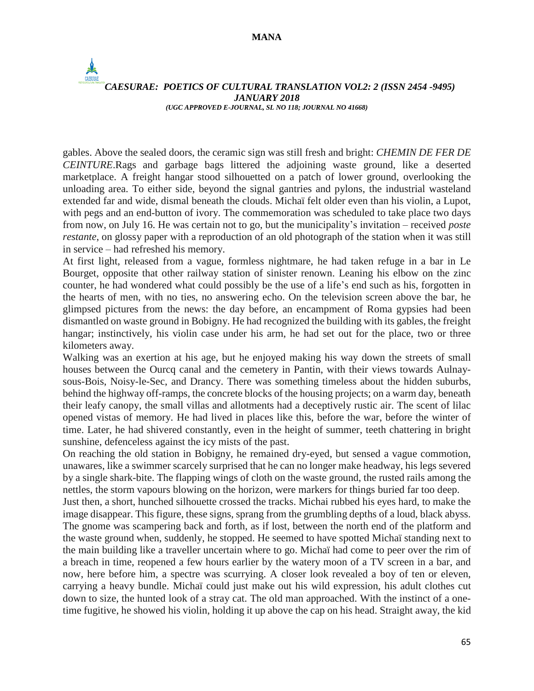$\frac{1}{2}$ 

#### *CAESURAE: POETICS OF CULTURAL TRANSLATION VOL2: 2 (ISSN 2454 -9495) JANUARY 2018 (UGC APPROVED E-JOURNAL, SL NO 118; JOURNAL NO 41668)*

gables. Above the sealed doors, the ceramic sign was still fresh and bright: *CHEMIN DE FER DE CEINTURE*.Rags and garbage bags littered the adjoining waste ground, like a deserted marketplace. A freight hangar stood silhouetted on a patch of lower ground, overlooking the unloading area. To either side, beyond the signal gantries and pylons, the industrial wasteland extended far and wide, dismal beneath the clouds. Michaï felt older even than his violin, a Lupot, with pegs and an end-button of ivory. The commemoration was scheduled to take place two days from now, on July 16. He was certain not to go, but the municipality's invitation – received *poste restante*, on glossy paper with a reproduction of an old photograph of the station when it was still in service – had refreshed his memory.

At first light, released from a vague, formless nightmare, he had taken refuge in a bar in Le Bourget, opposite that other railway station of sinister renown. Leaning his elbow on the zinc counter, he had wondered what could possibly be the use of a life's end such as his, forgotten in the hearts of men, with no ties, no answering echo. On the television screen above the bar, he glimpsed pictures from the news: the day before, an encampment of Roma gypsies had been dismantled on waste ground in Bobigny. He had recognized the building with its gables, the freight hangar; instinctively, his violin case under his arm, he had set out for the place, two or three kilometers away.

Walking was an exertion at his age, but he enjoyed making his way down the streets of small houses between the Ourcq canal and the cemetery in Pantin, with their views towards Aulnaysous-Bois, Noisy-le-Sec, and Drancy. There was something timeless about the hidden suburbs, behind the highway off-ramps, the concrete blocks of the housing projects; on a warm day, beneath their leafy canopy, the small villas and allotments had a deceptively rustic air. The scent of lilac opened vistas of memory. He had lived in places like this, before the war, before the winter of time. Later, he had shivered constantly, even in the height of summer, teeth chattering in bright sunshine, defenceless against the icy mists of the past.

On reaching the old station in Bobigny, he remained dry-eyed, but sensed a vague commotion, unawares, like a swimmer scarcely surprised that he can no longer make headway, his legs severed by a single shark-bite. The flapping wings of cloth on the waste ground, the rusted rails among the nettles, the storm vapours blowing on the horizon, were markers for things buried far too deep.

Just then, a short, hunched silhouette crossed the tracks. Michai rubbed his eyes hard, to make the image disappear. This figure, these signs, sprang from the grumbling depths of a loud, black abyss. The gnome was scampering back and forth, as if lost, between the north end of the platform and the waste ground when, suddenly, he stopped. He seemed to have spotted Michaï standing next to the main building like a traveller uncertain where to go. Michaï had come to peer over the rim of a breach in time, reopened a few hours earlier by the watery moon of a TV screen in a bar, and now, here before him, a spectre was scurrying. A closer look revealed a boy of ten or eleven, carrying a heavy bundle. Michaï could just make out his wild expression, his adult clothes cut down to size, the hunted look of a stray cat. The old man approached. With the instinct of a onetime fugitive, he showed his violin, holding it up above the cap on his head. Straight away, the kid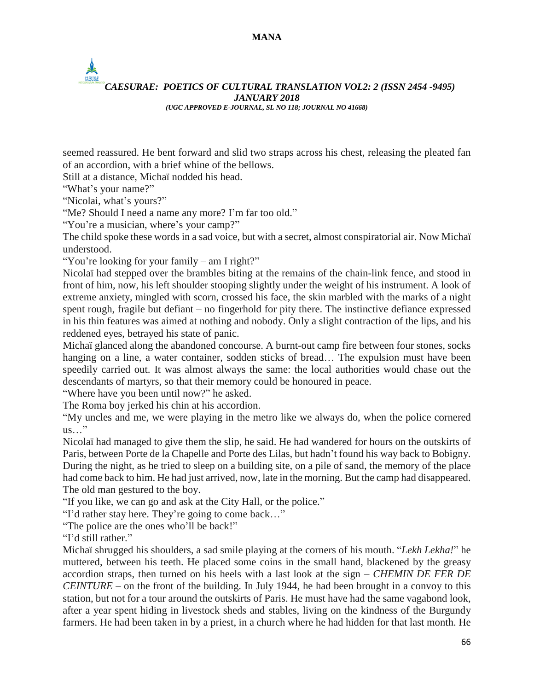### **MANA**

## *CAESURAE: POETICS OF CULTURAL TRANSLATION VOL2: 2 (ISSN 2454 -9495) JANUARY 2018 (UGC APPROVED E-JOURNAL, SL NO 118; JOURNAL NO 41668)*

seemed reassured. He bent forward and slid two straps across his chest, releasing the pleated fan of an accordion, with a brief whine of the bellows.

Still at a distance, Michaï nodded his head.

"What's your name?"

 $\frac{1}{2}$ 

"Nicolai, what's yours?"

"Me? Should I need a name any more? I'm far too old."

"You're a musician, where's your camp?"

The child spoke these words in a sad voice, but with a secret, almost conspiratorial air. Now Michaï understood.

"You're looking for your family – am I right?"

Nicolaï had stepped over the brambles biting at the remains of the chain-link fence, and stood in front of him, now, his left shoulder stooping slightly under the weight of his instrument. A look of extreme anxiety, mingled with scorn, crossed his face, the skin marbled with the marks of a night spent rough, fragile but defiant – no fingerhold for pity there. The instinctive defiance expressed in his thin features was aimed at nothing and nobody. Only a slight contraction of the lips, and his reddened eyes, betrayed his state of panic.

Michaï glanced along the abandoned concourse. A burnt-out camp fire between four stones, socks hanging on a line, a water container, sodden sticks of bread… The expulsion must have been speedily carried out. It was almost always the same: the local authorities would chase out the descendants of martyrs, so that their memory could be honoured in peace.

"Where have you been until now?" he asked.

The Roma boy jerked his chin at his accordion.

"My uncles and me, we were playing in the metro like we always do, when the police cornered  $us...$ "

Nicolaï had managed to give them the slip, he said. He had wandered for hours on the outskirts of Paris, between Porte de la Chapelle and Porte des Lilas, but hadn't found his way back to Bobigny. During the night, as he tried to sleep on a building site, on a pile of sand, the memory of the place had come back to him. He had just arrived, now, late in the morning. But the camp had disappeared. The old man gestured to the boy.

"If you like, we can go and ask at the City Hall, or the police."

"I'd rather stay here. They're going to come back…"

"The police are the ones who'll be back!"

"I'd still rather."

Michaï shrugged his shoulders, a sad smile playing at the corners of his mouth. "*Lekh Lekha!*" he muttered, between his teeth. He placed some coins in the small hand, blackened by the greasy accordion straps, then turned on his heels with a last look at the sign – *CHEMIN DE FER DE CEINTURE* – on the front of the building. In July 1944, he had been brought in a convoy to this station, but not for a tour around the outskirts of Paris. He must have had the same vagabond look, after a year spent hiding in livestock sheds and stables, living on the kindness of the Burgundy farmers. He had been taken in by a priest, in a church where he had hidden for that last month. He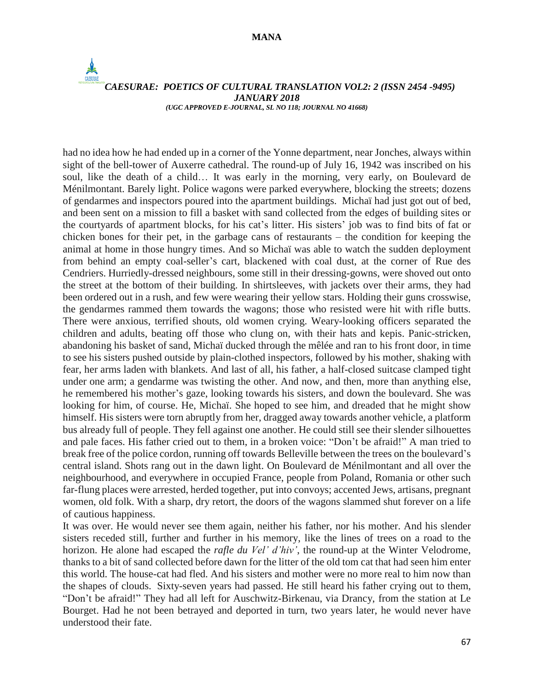$\frac{1}{2}$ 

#### *CAESURAE: POETICS OF CULTURAL TRANSLATION VOL2: 2 (ISSN 2454 -9495) JANUARY 2018 (UGC APPROVED E-JOURNAL, SL NO 118; JOURNAL NO 41668)*

had no idea how he had ended up in a corner of the Yonne department, near Jonches, always within sight of the bell-tower of Auxerre cathedral. The round-up of July 16, 1942 was inscribed on his soul, like the death of a child… It was early in the morning, very early, on Boulevard de Ménilmontant. Barely light. Police wagons were parked everywhere, blocking the streets; dozens of gendarmes and inspectors poured into the apartment buildings. Michaï had just got out of bed, and been sent on a mission to fill a basket with sand collected from the edges of building sites or the courtyards of apartment blocks, for his cat's litter. His sisters' job was to find bits of fat or chicken bones for their pet, in the garbage cans of restaurants – the condition for keeping the animal at home in those hungry times. And so Michaï was able to watch the sudden deployment from behind an empty coal-seller's cart, blackened with coal dust, at the corner of Rue des Cendriers. Hurriedly-dressed neighbours, some still in their dressing-gowns, were shoved out onto the street at the bottom of their building. In shirtsleeves, with jackets over their arms, they had been ordered out in a rush, and few were wearing their yellow stars. Holding their guns crosswise, the gendarmes rammed them towards the wagons; those who resisted were hit with rifle butts. There were anxious, terrified shouts, old women crying. Weary-looking officers separated the children and adults, beating off those who clung on, with their hats and kepis. Panic-stricken, abandoning his basket of sand, Michaï ducked through the mêlée and ran to his front door, in time to see his sisters pushed outside by plain-clothed inspectors, followed by his mother, shaking with fear, her arms laden with blankets. And last of all, his father, a half-closed suitcase clamped tight under one arm; a gendarme was twisting the other. And now, and then, more than anything else, he remembered his mother's gaze, looking towards his sisters, and down the boulevard. She was looking for him, of course. He, Michaï. She hoped to see him, and dreaded that he might show himself. His sisters were torn abruptly from her, dragged away towards another vehicle, a platform bus already full of people. They fell against one another. He could still see their slender silhouettes and pale faces. His father cried out to them, in a broken voice: "Don't be afraid!" A man tried to break free of the police cordon, running off towards Belleville between the trees on the boulevard's central island. Shots rang out in the dawn light. On Boulevard de Ménilmontant and all over the neighbourhood, and everywhere in occupied France, people from Poland, Romania or other such far-flung places were arrested, herded together, put into convoys; accented Jews, artisans, pregnant women, old folk. With a sharp, dry retort, the doors of the wagons slammed shut forever on a life of cautious happiness.

It was over. He would never see them again, neither his father, nor his mother. And his slender sisters receded still, further and further in his memory, like the lines of trees on a road to the horizon. He alone had escaped the *rafle du Vel' d'hiv'*, the round-up at the Winter Velodrome, thanks to a bit of sand collected before dawn for the litter of the old tom cat that had seen him enter this world. The house-cat had fled. And his sisters and mother were no more real to him now than the shapes of clouds. Sixty-seven years had passed. He still heard his father crying out to them, "Don't be afraid!" They had all left for Auschwitz-Birkenau, via Drancy, from the station at Le Bourget. Had he not been betrayed and deported in turn, two years later, he would never have understood their fate.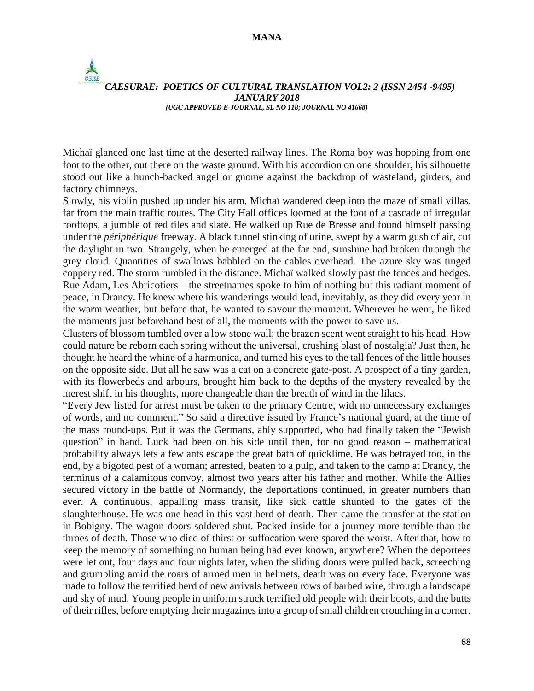#### **MANA**

 $\frac{1}{2}$ 

#### *CAESURAE: POETICS OF CULTURAL TRANSLATION VOL2: 2 (ISSN 2454 -9495) JANUARY 2018 (UGC APPROVED E-JOURNAL, SL NO 118; JOURNAL NO 41668)*

Michaï glanced one last time at the deserted railway lines. The Roma boy was hopping from one foot to the other, out there on the waste ground. With his accordion on one shoulder, his silhouette stood out like a hunch-backed angel or gnome against the backdrop of wasteland, girders, and factory chimneys.

Slowly, his violin pushed up under his arm, Michaï wandered deep into the maze of small villas, far from the main traffic routes. The City Hall offices loomed at the foot of a cascade of irregular rooftops, a jumble of red tiles and slate. He walked up Rue de Bresse and found himself passing under the *périphérique* freeway. A black tunnel stinking of urine, swept by a warm gush of air, cut the daylight in two. Strangely, when he emerged at the far end, sunshine had broken through the grey cloud. Quantities of swallows babbled on the cables overhead. The azure sky was tinged coppery red. The storm rumbled in the distance. Michaï walked slowly past the fences and hedges. Rue Adam, Les Abricotiers – the streetnames spoke to him of nothing but this radiant moment of peace, in Drancy. He knew where his wanderings would lead, inevitably, as they did every year in the warm weather, but before that, he wanted to savour the moment. Wherever he went, he liked the moments just beforehand best of all, the moments with the power to save us.

Clusters of blossom tumbled over a low stone wall; the brazen scent went straight to his head. How could nature be reborn each spring without the universal, crushing blast of nostalgia? Just then, he thought he heard the whine of a harmonica, and turned his eyes to the tall fences of the little houses on the opposite side. But all he saw was a cat on a concrete gate-post. A prospect of a tiny garden, with its flowerbeds and arbours, brought him back to the depths of the mystery revealed by the merest shift in his thoughts, more changeable than the breath of wind in the lilacs.

"Every Jew listed for arrest must be taken to the primary Centre, with no unnecessary exchanges of words, and no comment." So said a directive issued by France's national guard, at the time of the mass round-ups. But it was the Germans, ably supported, who had finally taken the "Jewish question" in hand. Luck had been on his side until then, for no good reason – mathematical probability always lets a few ants escape the great bath of quicklime. He was betrayed too, in the end, by a bigoted pest of a woman; arrested, beaten to a pulp, and taken to the camp at Drancy, the terminus of a calamitous convoy, almost two years after his father and mother. While the Allies secured victory in the battle of Normandy, the deportations continued, in greater numbers than ever. A continuous, appalling mass transit, like sick cattle shunted to the gates of the slaughterhouse. He was one head in this vast herd of death. Then came the transfer at the station in Bobigny. The wagon doors soldered shut. Packed inside for a journey more terrible than the throes of death. Those who died of thirst or suffocation were spared the worst. After that, how to keep the memory of something no human being had ever known, anywhere? When the deportees were let out, four days and four nights later, when the sliding doors were pulled back, screeching and grumbling amid the roars of armed men in helmets, death was on every face. Everyone was made to follow the terrified herd of new arrivals between rows of barbed wire, through a landscape and sky of mud. Young people in uniform struck terrified old people with their boots, and the butts of their rifles, before emptying their magazinesinto a group ofsmall children crouching in a corner.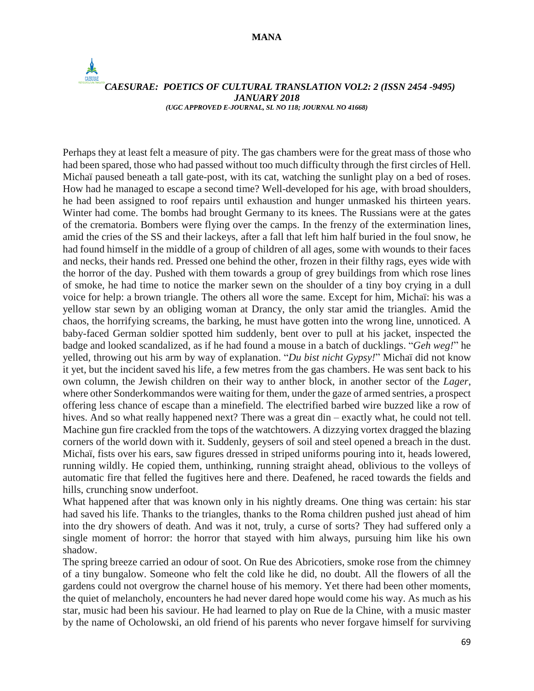#### *CAESURAE: POETICS OF CULTURAL TRANSLATION VOL2: 2 (ISSN 2454 -9495) JANUARY 2018 (UGC APPROVED E-JOURNAL, SL NO 118; JOURNAL NO 41668)*

Perhaps they at least felt a measure of pity. The gas chambers were for the great mass of those who had been spared, those who had passed without too much difficulty through the first circles of Hell. Michaï paused beneath a tall gate-post, with its cat, watching the sunlight play on a bed of roses. How had he managed to escape a second time? Well-developed for his age, with broad shoulders, he had been assigned to roof repairs until exhaustion and hunger unmasked his thirteen years. Winter had come. The bombs had brought Germany to its knees. The Russians were at the gates of the crematoria. Bombers were flying over the camps. In the frenzy of the extermination lines, amid the cries of the SS and their lackeys, after a fall that left him half buried in the foul snow, he had found himself in the middle of a group of children of all ages, some with wounds to their faces and necks, their hands red. Pressed one behind the other, frozen in their filthy rags, eyes wide with the horror of the day. Pushed with them towards a group of grey buildings from which rose lines of smoke, he had time to notice the marker sewn on the shoulder of a tiny boy crying in a dull voice for help: a brown triangle. The others all wore the same. Except for him, Michaï: his was a yellow star sewn by an obliging woman at Drancy, the only star amid the triangles. Amid the chaos, the horrifying screams, the barking, he must have gotten into the wrong line, unnoticed. A baby-faced German soldier spotted him suddenly, bent over to pull at his jacket, inspected the badge and looked scandalized, as if he had found a mouse in a batch of ducklings. "*Geh weg!*" he yelled, throwing out his arm by way of explanation. "*Du bist nicht Gypsy!*" Michaï did not know it yet, but the incident saved his life, a few metres from the gas chambers. He was sent back to his own column, the Jewish children on their way to anther block, in another sector of the *Lager*, where other Sonderkommandos were waiting for them, under the gaze of armed sentries, a prospect offering less chance of escape than a minefield. The electrified barbed wire buzzed like a row of hives. And so what really happened next? There was a great din – exactly what, he could not tell. Machine gun fire crackled from the tops of the watchtowers. A dizzying vortex dragged the blazing corners of the world down with it. Suddenly, geysers of soil and steel opened a breach in the dust. Michaï, fists over his ears, saw figures dressed in striped uniforms pouring into it, heads lowered, running wildly. He copied them, unthinking, running straight ahead, oblivious to the volleys of automatic fire that felled the fugitives here and there. Deafened, he raced towards the fields and hills, crunching snow underfoot.

What happened after that was known only in his nightly dreams. One thing was certain: his star had saved his life. Thanks to the triangles, thanks to the Roma children pushed just ahead of him into the dry showers of death. And was it not, truly, a curse of sorts? They had suffered only a single moment of horror: the horror that stayed with him always, pursuing him like his own shadow.

The spring breeze carried an odour of soot. On Rue des Abricotiers, smoke rose from the chimney of a tiny bungalow. Someone who felt the cold like he did, no doubt. All the flowers of all the gardens could not overgrow the charnel house of his memory. Yet there had been other moments, the quiet of melancholy, encounters he had never dared hope would come his way. As much as his star, music had been his saviour. He had learned to play on Rue de la Chine, with a music master by the name of Ocholowski, an old friend of his parents who never forgave himself for surviving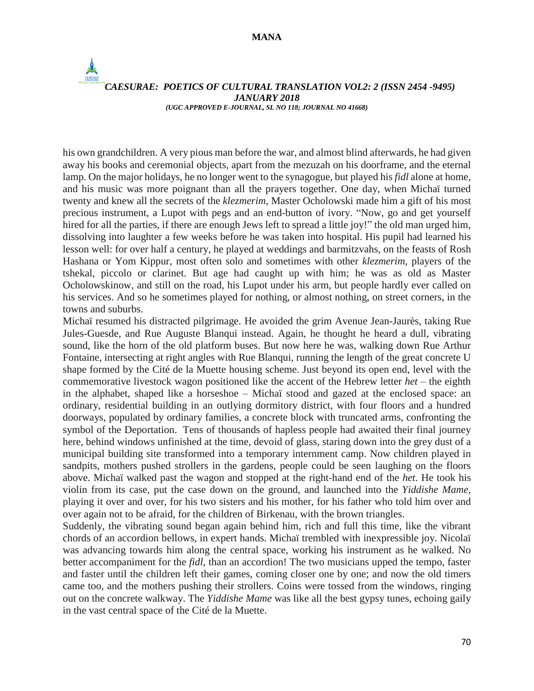$\frac{1}{2}$ 

#### *CAESURAE: POETICS OF CULTURAL TRANSLATION VOL2: 2 (ISSN 2454 -9495) JANUARY 2018 (UGC APPROVED E-JOURNAL, SL NO 118; JOURNAL NO 41668)*

his own grandchildren. A very pious man before the war, and almost blind afterwards, he had given away his books and ceremonial objects, apart from the mezuzah on his doorframe, and the eternal lamp. On the major holidays, he no longer went to the synagogue, but played his *fidl* alone at home, and his music was more poignant than all the prayers together. One day, when Michaï turned twenty and knew all the secrets of the *klezmerim*, Master Ocholowski made him a gift of his most precious instrument, a Lupot with pegs and an end-button of ivory. "Now, go and get yourself hired for all the parties, if there are enough Jews left to spread a little joy!" the old man urged him, dissolving into laughter a few weeks before he was taken into hospital. His pupil had learned his lesson well: for over half a century, he played at weddings and barmitzvahs, on the feasts of Rosh Hashana or Yom Kippur, most often solo and sometimes with other *klezmerim*, players of the tshekal, piccolo or clarinet. But age had caught up with him; he was as old as Master Ocholowskinow, and still on the road, his Lupot under his arm, but people hardly ever called on his services. And so he sometimes played for nothing, or almost nothing, on street corners, in the towns and suburbs.

Michaï resumed his distracted pilgrimage. He avoided the grim Avenue Jean-Jaurès, taking Rue Jules-Guesde, and Rue Auguste Blanqui instead. Again, he thought he heard a dull, vibrating sound, like the horn of the old platform buses. But now here he was, walking down Rue Arthur Fontaine, intersecting at right angles with Rue Blanqui, running the length of the great concrete U shape formed by the Cité de la Muette housing scheme. Just beyond its open end, level with the commemorative livestock wagon positioned like the accent of the Hebrew letter *het* – the eighth in the alphabet, shaped like a horseshoe – Michaï stood and gazed at the enclosed space: an ordinary, residential building in an outlying dormitory district, with four floors and a hundred doorways, populated by ordinary families, a concrete block with truncated arms, confronting the symbol of the Deportation. Tens of thousands of hapless people had awaited their final journey here, behind windows unfinished at the time, devoid of glass, staring down into the grey dust of a municipal building site transformed into a temporary internment camp. Now children played in sandpits, mothers pushed strollers in the gardens, people could be seen laughing on the floors above. Michaï walked past the wagon and stopped at the right-hand end of the *het*. He took his violin from its case, put the case down on the ground, and launched into the *Yiddishe Mame*, playing it over and over, for his two sisters and his mother, for his father who told him over and over again not to be afraid, for the children of Birkenau, with the brown triangles.

Suddenly, the vibrating sound began again behind him, rich and full this time, like the vibrant chords of an accordion bellows, in expert hands. Michaï trembled with inexpressible joy. Nicolaï was advancing towards him along the central space, working his instrument as he walked. No better accompaniment for the *fidl*, than an accordion! The two musicians upped the tempo, faster and faster until the children left their games, coming closer one by one; and now the old timers came too, and the mothers pushing their strollers. Coins were tossed from the windows, ringing out on the concrete walkway. The *Yiddishe Mame* was like all the best gypsy tunes, echoing gaily in the vast central space of the Cité de la Muette.